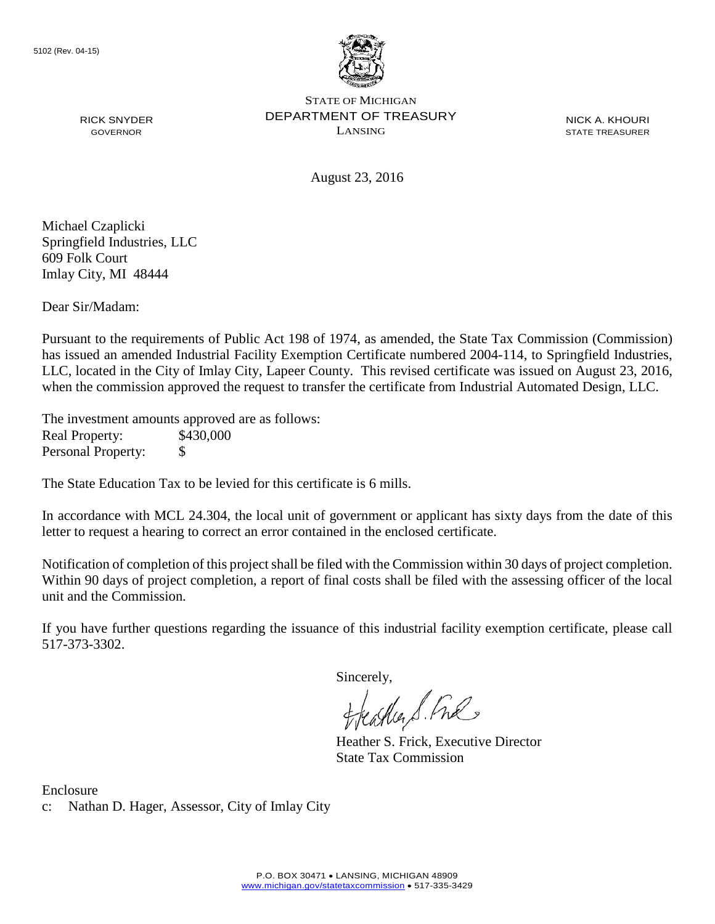

NICK A. KHOURI STATE TREASURER

August 23, 2016

Michael Czaplicki Springfield Industries, LLC 609 Folk Court Imlay City, MI 48444

RICK SNYDER GOVERNOR

Dear Sir/Madam:

Pursuant to the requirements of Public Act 198 of 1974, as amended, the State Tax Commission (Commission) has issued an amended Industrial Facility Exemption Certificate numbered 2004-114, to Springfield Industries, LLC, located in the City of Imlay City, Lapeer County. This revised certificate was issued on August 23, 2016, when the commission approved the request to transfer the certificate from Industrial Automated Design, LLC.

The investment amounts approved are as follows: Real Property: \$430,000 Personal Property: \$

The State Education Tax to be levied for this certificate is 6 mills.

In accordance with MCL 24.304, the local unit of government or applicant has sixty days from the date of this letter to request a hearing to correct an error contained in the enclosed certificate.

Notification of completion of this project shall be filed with the Commission within 30 days of project completion. Within 90 days of project completion, a report of final costs shall be filed with the assessing officer of the local unit and the Commission.

If you have further questions regarding the issuance of this industrial facility exemption certificate, please call 517-373-3302.

Sincerely,

teaglier & Ful

Heather S. Frick, Executive Director State Tax Commission

Enclosure c: Nathan D. Hager, Assessor, City of Imlay City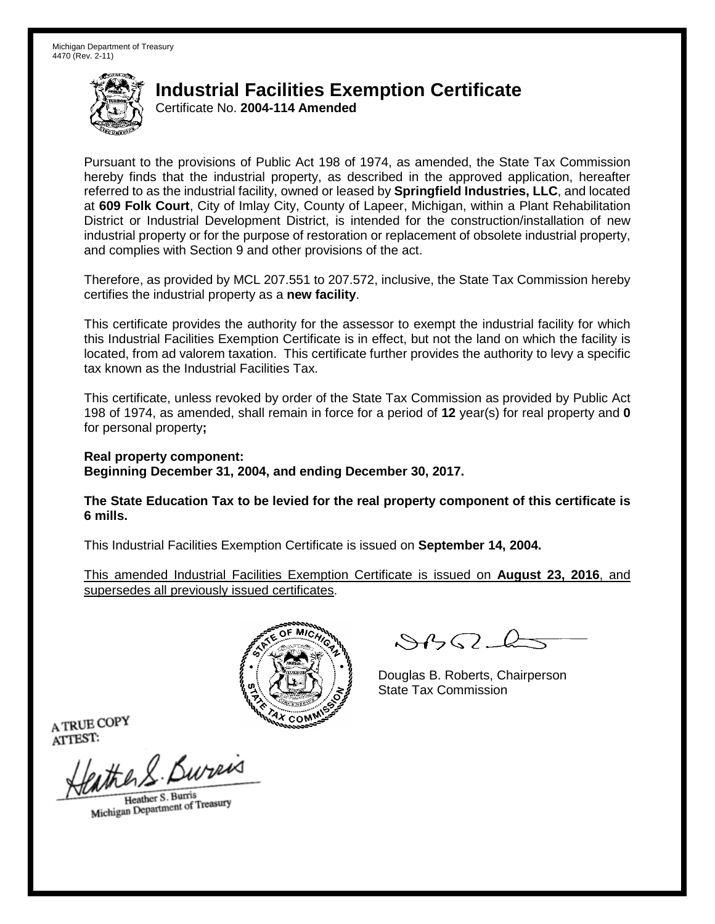Certificate No. **2004-114 Amended**

Pursuant to the provisions of Public Act 198 of 1974, as amended, the State Tax Commission hereby finds that the industrial property, as described in the approved application, hereafter referred to as the industrial facility, owned or leased by **Springfield Industries, LLC**, and located at **609 Folk Court**, City of Imlay City, County of Lapeer, Michigan, within a Plant Rehabilitation District or Industrial Development District, is intended for the construction/installation of new industrial property or for the purpose of restoration or replacement of obsolete industrial property, and complies with Section 9 and other provisions of the act.

Therefore, as provided by MCL 207.551 to 207.572, inclusive, the State Tax Commission hereby certifies the industrial property as a **new facility**.

This certificate provides the authority for the assessor to exempt the industrial facility for which this Industrial Facilities Exemption Certificate is in effect, but not the land on which the facility is located, from ad valorem taxation. This certificate further provides the authority to levy a specific tax known as the Industrial Facilities Tax.

This certificate, unless revoked by order of the State Tax Commission as provided by Public Act 198 of 1974, as amended, shall remain in force for a period of **12** year(s) for real property and **0** for personal property**;**

**Real property component: Beginning December 31, 2004, and ending December 30, 2017.**

**The State Education Tax to be levied for the real property component of this certificate is 6 mills.**

This Industrial Facilities Exemption Certificate is issued on **September 14, 2004.**

This amended Industrial Facilities Exemption Certificate is issued on **August 23, 2016**, and supersedes all previously issued certificates.



 $84562 - 6$ 

Douglas B. Roberts, Chairperson State Tax Commission

A TRUE COPY ATTEST:

athers Bureas

Heather S. Burris Heather S. Burns<br>Michigan Department of Treasury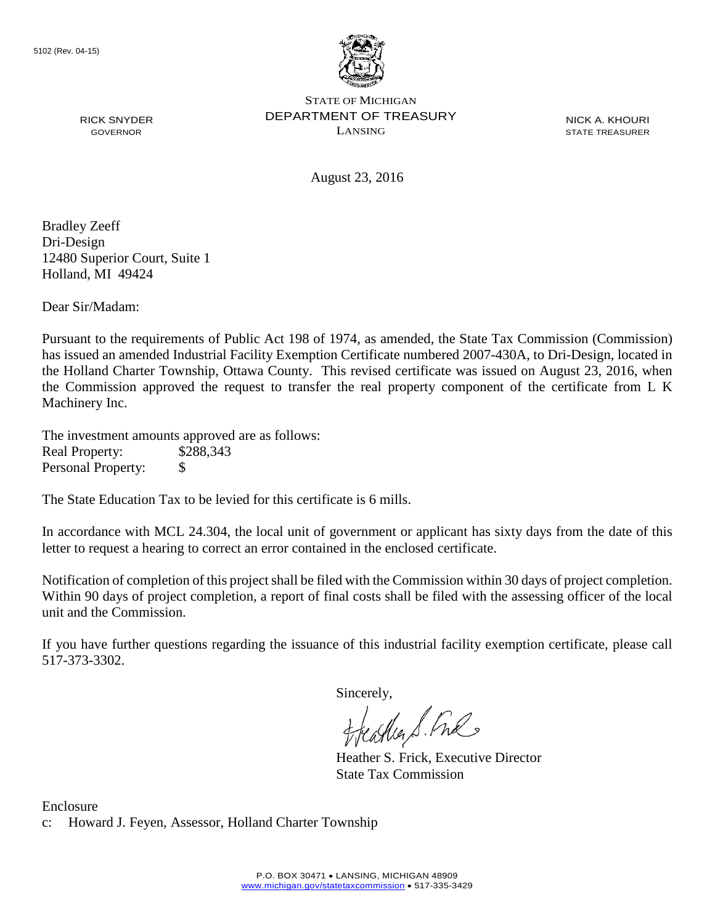

NICK A. KHOURI STATE TREASURER

August 23, 2016

Bradley Zeeff Dri-Design 12480 Superior Court, Suite 1 Holland, MI 49424

RICK SNYDER GOVERNOR

Dear Sir/Madam:

Pursuant to the requirements of Public Act 198 of 1974, as amended, the State Tax Commission (Commission) has issued an amended Industrial Facility Exemption Certificate numbered 2007-430A, to Dri-Design, located in the Holland Charter Township, Ottawa County. This revised certificate was issued on August 23, 2016, when the Commission approved the request to transfer the real property component of the certificate from L K Machinery Inc.

The investment amounts approved are as follows: Real Property: \$288,343 Personal Property: \$

The State Education Tax to be levied for this certificate is 6 mills.

In accordance with MCL 24.304, the local unit of government or applicant has sixty days from the date of this letter to request a hearing to correct an error contained in the enclosed certificate.

Notification of completion of this project shall be filed with the Commission within 30 days of project completion. Within 90 days of project completion, a report of final costs shall be filed with the assessing officer of the local unit and the Commission.

If you have further questions regarding the issuance of this industrial facility exemption certificate, please call 517-373-3302.

Sincerely,<br>freathers fine

Heather S. Frick, Executive Director State Tax Commission

Enclosure c: Howard J. Feyen, Assessor, Holland Charter Township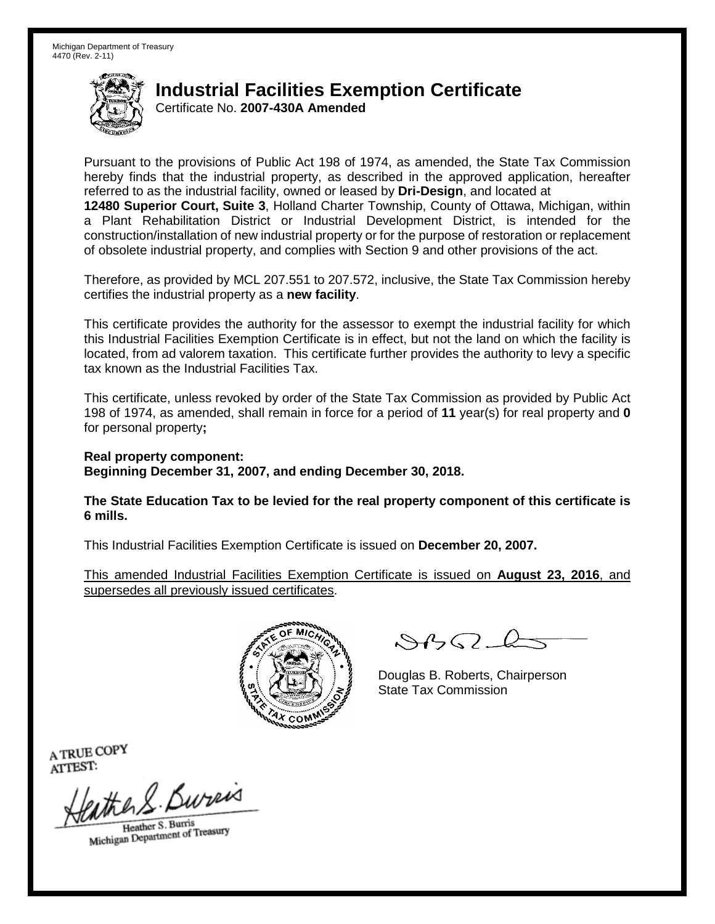Certificate No. **2007-430A Amended**

Pursuant to the provisions of Public Act 198 of 1974, as amended, the State Tax Commission hereby finds that the industrial property, as described in the approved application, hereafter referred to as the industrial facility, owned or leased by **Dri-Design**, and located at

**12480 Superior Court, Suite 3**, Holland Charter Township, County of Ottawa, Michigan, within a Plant Rehabilitation District or Industrial Development District, is intended for the construction/installation of new industrial property or for the purpose of restoration or replacement of obsolete industrial property, and complies with Section 9 and other provisions of the act.

Therefore, as provided by MCL 207.551 to 207.572, inclusive, the State Tax Commission hereby certifies the industrial property as a **new facility**.

This certificate provides the authority for the assessor to exempt the industrial facility for which this Industrial Facilities Exemption Certificate is in effect, but not the land on which the facility is located, from ad valorem taxation. This certificate further provides the authority to levy a specific tax known as the Industrial Facilities Tax.

This certificate, unless revoked by order of the State Tax Commission as provided by Public Act 198 of 1974, as amended, shall remain in force for a period of **11** year(s) for real property and **0** for personal property**;**

**Real property component: Beginning December 31, 2007, and ending December 30, 2018.**

**The State Education Tax to be levied for the real property component of this certificate is 6 mills.**

This Industrial Facilities Exemption Certificate is issued on **December 20, 2007.**

This amended Industrial Facilities Exemption Certificate is issued on **August 23, 2016**, and supersedes all previously issued certificates.



 $8450 - 6$ 

Douglas B. Roberts, Chairperson State Tax Commission

A TRUE COPY ATTEST:

athers Bureas

Heather S. Burris Heather S. Burris<br>Michigan Department of Treasury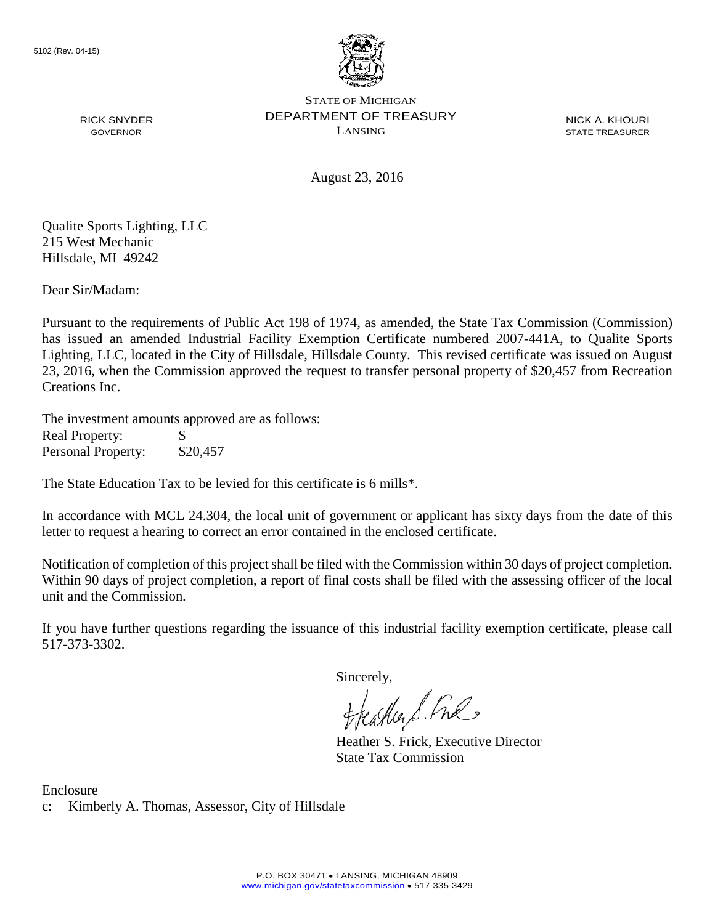

NICK A. KHOURI STATE TREASURER

August 23, 2016

Qualite Sports Lighting, LLC 215 West Mechanic Hillsdale, MI 49242

RICK SNYDER GOVERNOR

Dear Sir/Madam:

Pursuant to the requirements of Public Act 198 of 1974, as amended, the State Tax Commission (Commission) has issued an amended Industrial Facility Exemption Certificate numbered 2007-441A, to Qualite Sports Lighting, LLC, located in the City of Hillsdale, Hillsdale County. This revised certificate was issued on August 23, 2016, when the Commission approved the request to transfer personal property of \$20,457 from Recreation Creations Inc.

The investment amounts approved are as follows: Real Property: \$ Personal Property: \$20,457

The State Education Tax to be levied for this certificate is 6 mills\*.

In accordance with MCL 24.304, the local unit of government or applicant has sixty days from the date of this letter to request a hearing to correct an error contained in the enclosed certificate.

Notification of completion of this project shall be filed with the Commission within 30 days of project completion. Within 90 days of project completion, a report of final costs shall be filed with the assessing officer of the local unit and the Commission.

If you have further questions regarding the issuance of this industrial facility exemption certificate, please call 517-373-3302.

Sincerely,

teacher S. Ful

Heather S. Frick, Executive Director State Tax Commission

Enclosure c: Kimberly A. Thomas, Assessor, City of Hillsdale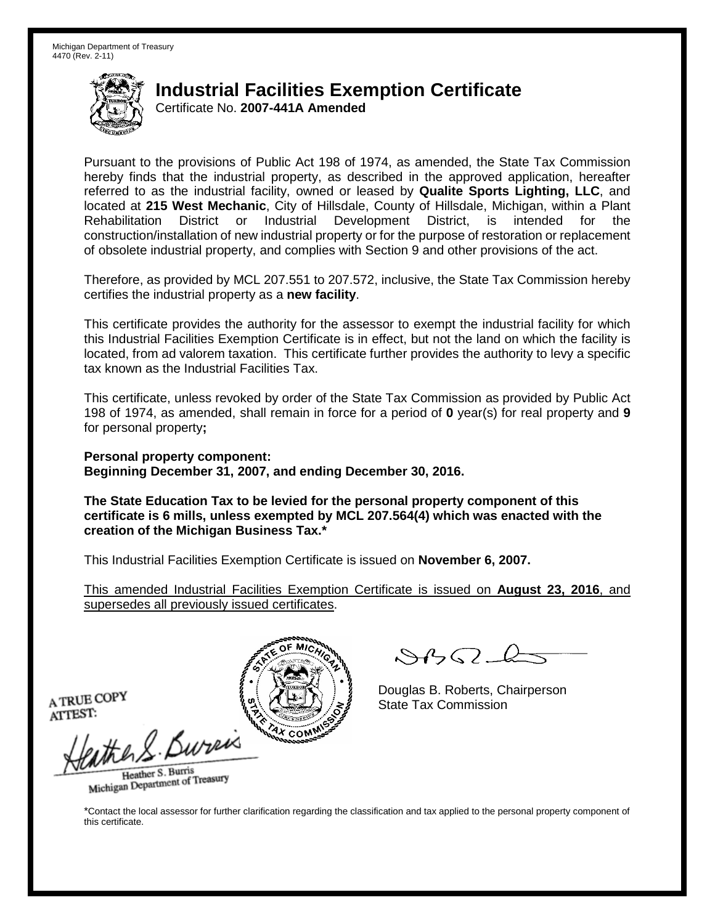Certificate No. **2007-441A Amended**

Pursuant to the provisions of Public Act 198 of 1974, as amended, the State Tax Commission hereby finds that the industrial property, as described in the approved application, hereafter referred to as the industrial facility, owned or leased by **Qualite Sports Lighting, LLC**, and located at **215 West Mechanic**, City of Hillsdale, County of Hillsdale, Michigan, within a Plant Rehabilitation District or Industrial Development District, is intended for the construction/installation of new industrial property or for the purpose of restoration or replacement of obsolete industrial property, and complies with Section 9 and other provisions of the act.

Therefore, as provided by MCL 207.551 to 207.572, inclusive, the State Tax Commission hereby certifies the industrial property as a **new facility**.

This certificate provides the authority for the assessor to exempt the industrial facility for which this Industrial Facilities Exemption Certificate is in effect, but not the land on which the facility is located, from ad valorem taxation. This certificate further provides the authority to levy a specific tax known as the Industrial Facilities Tax.

This certificate, unless revoked by order of the State Tax Commission as provided by Public Act 198 of 1974, as amended, shall remain in force for a period of **0** year(s) for real property and **9** for personal property**;**

**Personal property component: Beginning December 31, 2007, and ending December 30, 2016.**

**The State Education Tax to be levied for the personal property component of this certificate is 6 mills, unless exempted by MCL 207.564(4) which was enacted with the creation of the Michigan Business Tax.\***

This Industrial Facilities Exemption Certificate is issued on **November 6, 2007.**

This amended Industrial Facilities Exemption Certificate is issued on **August 23, 2016**, and supersedes all previously issued certificates.

A TRUE COPY ATTEST:

ather S. Burea

Heather S. Burris Heather S. Burns<br>Michigan Department of Treasury



 $\mathcal{A} \cap \mathcal{A} \cap \mathcal{A}$ 

Douglas B. Roberts, Chairperson State Tax Commission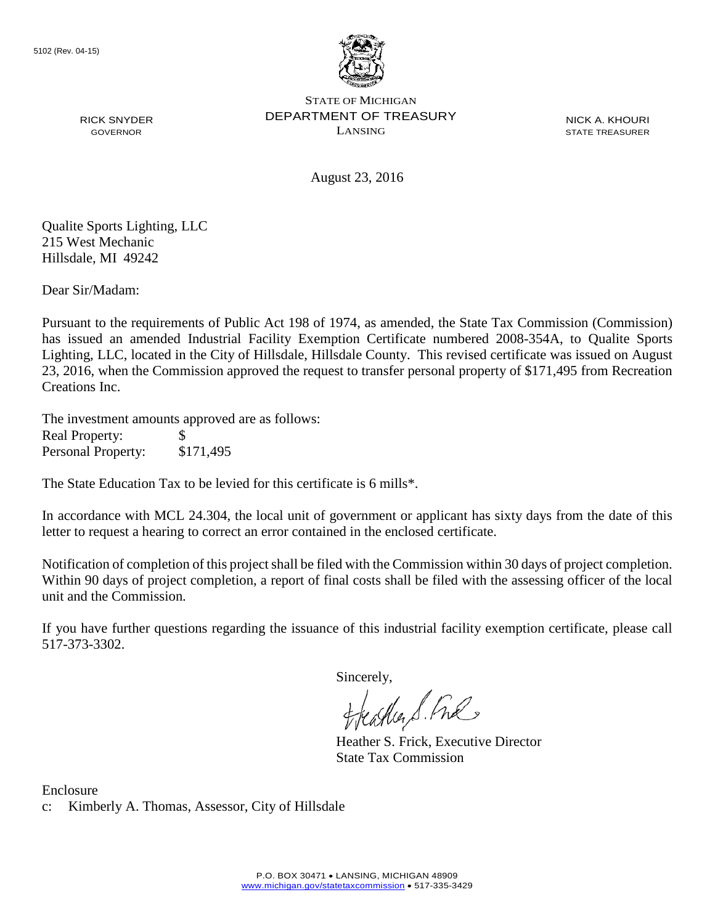

NICK A. KHOURI STATE TREASURER

August 23, 2016

Qualite Sports Lighting, LLC 215 West Mechanic Hillsdale, MI 49242

RICK SNYDER GOVERNOR

Dear Sir/Madam:

Pursuant to the requirements of Public Act 198 of 1974, as amended, the State Tax Commission (Commission) has issued an amended Industrial Facility Exemption Certificate numbered 2008-354A, to Qualite Sports Lighting, LLC, located in the City of Hillsdale, Hillsdale County. This revised certificate was issued on August 23, 2016, when the Commission approved the request to transfer personal property of \$171,495 from Recreation Creations Inc.

The investment amounts approved are as follows: Real Property: \$ Personal Property: \$171,495

The State Education Tax to be levied for this certificate is 6 mills\*.

In accordance with MCL 24.304, the local unit of government or applicant has sixty days from the date of this letter to request a hearing to correct an error contained in the enclosed certificate.

Notification of completion of this project shall be filed with the Commission within 30 days of project completion. Within 90 days of project completion, a report of final costs shall be filed with the assessing officer of the local unit and the Commission.

If you have further questions regarding the issuance of this industrial facility exemption certificate, please call 517-373-3302.

Sincerely,

teagher & Fral

Heather S. Frick, Executive Director State Tax Commission

Enclosure c: Kimberly A. Thomas, Assessor, City of Hillsdale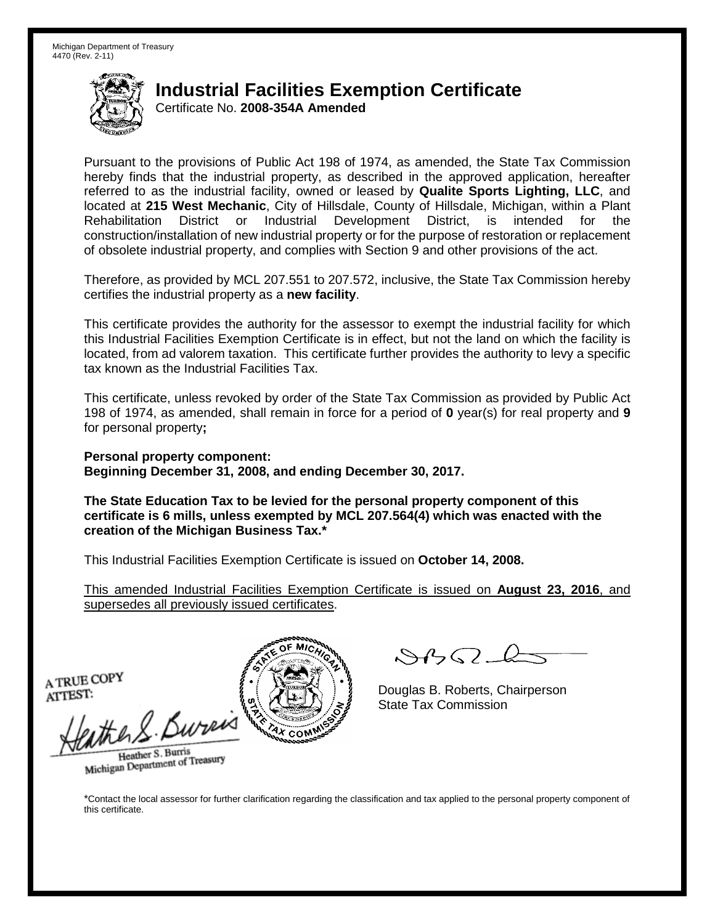Certificate No. **2008-354A Amended**

Pursuant to the provisions of Public Act 198 of 1974, as amended, the State Tax Commission hereby finds that the industrial property, as described in the approved application, hereafter referred to as the industrial facility, owned or leased by **Qualite Sports Lighting, LLC**, and located at **215 West Mechanic**, City of Hillsdale, County of Hillsdale, Michigan, within a Plant Rehabilitation District or Industrial Development District, is intended for the construction/installation of new industrial property or for the purpose of restoration or replacement of obsolete industrial property, and complies with Section 9 and other provisions of the act.

Therefore, as provided by MCL 207.551 to 207.572, inclusive, the State Tax Commission hereby certifies the industrial property as a **new facility**.

This certificate provides the authority for the assessor to exempt the industrial facility for which this Industrial Facilities Exemption Certificate is in effect, but not the land on which the facility is located, from ad valorem taxation. This certificate further provides the authority to levy a specific tax known as the Industrial Facilities Tax.

This certificate, unless revoked by order of the State Tax Commission as provided by Public Act 198 of 1974, as amended, shall remain in force for a period of **0** year(s) for real property and **9** for personal property**;**

**Personal property component: Beginning December 31, 2008, and ending December 30, 2017.**

**The State Education Tax to be levied for the personal property component of this certificate is 6 mills, unless exempted by MCL 207.564(4) which was enacted with the creation of the Michigan Business Tax.\***

This Industrial Facilities Exemption Certificate is issued on **October 14, 2008.**

This amended Industrial Facilities Exemption Certificate is issued on **August 23, 2016**, and supersedes all previously issued certificates.

A TRUE COPY ATTEST:

athers Burn

Heather S. Burris Heather S. Burris<br>Michigan Department of Treasury



 $\mathcal{A} \cap \mathcal{A} \cap \mathcal{A}$ 

Douglas B. Roberts, Chairperson State Tax Commission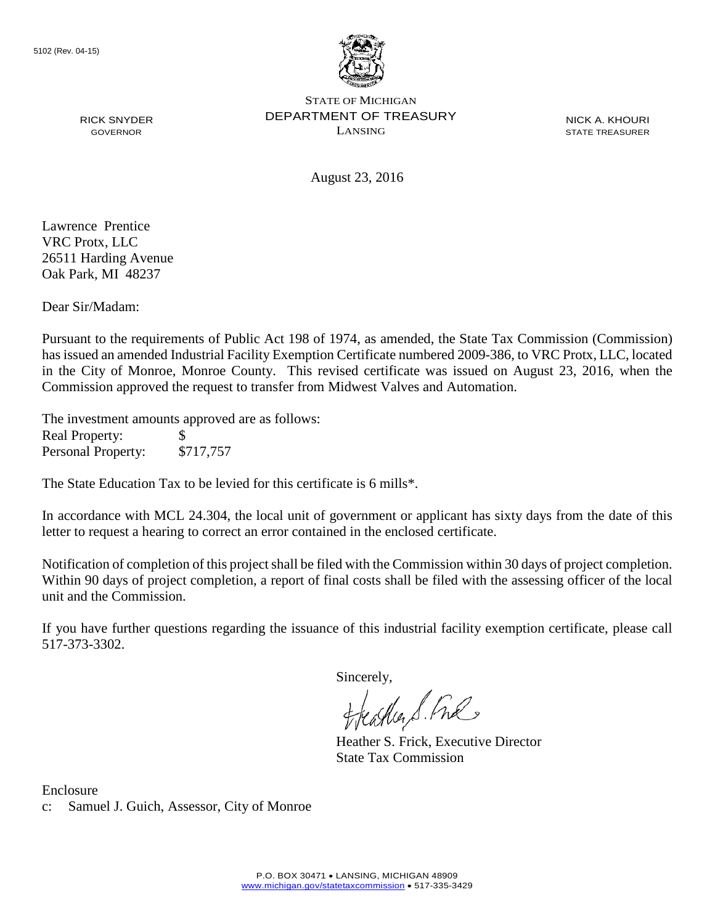

NICK A. KHOURI STATE TREASURER

August 23, 2016

Lawrence Prentice VRC Protx, LLC 26511 Harding Avenue Oak Park, MI 48237

RICK SNYDER GOVERNOR

Dear Sir/Madam:

Pursuant to the requirements of Public Act 198 of 1974, as amended, the State Tax Commission (Commission) has issued an amended Industrial Facility Exemption Certificate numbered 2009-386, to VRC Protx, LLC, located in the City of Monroe, Monroe County. This revised certificate was issued on August 23, 2016, when the Commission approved the request to transfer from Midwest Valves and Automation.

The investment amounts approved are as follows: Real Property: \$ Personal Property: \$717,757

The State Education Tax to be levied for this certificate is 6 mills\*.

In accordance with MCL 24.304, the local unit of government or applicant has sixty days from the date of this letter to request a hearing to correct an error contained in the enclosed certificate.

Notification of completion of this project shall be filed with the Commission within 30 days of project completion. Within 90 days of project completion, a report of final costs shall be filed with the assessing officer of the local unit and the Commission.

If you have further questions regarding the issuance of this industrial facility exemption certificate, please call 517-373-3302.

Sincerely,

teather S. Ful

Heather S. Frick, Executive Director State Tax Commission

Enclosure c: Samuel J. Guich, Assessor, City of Monroe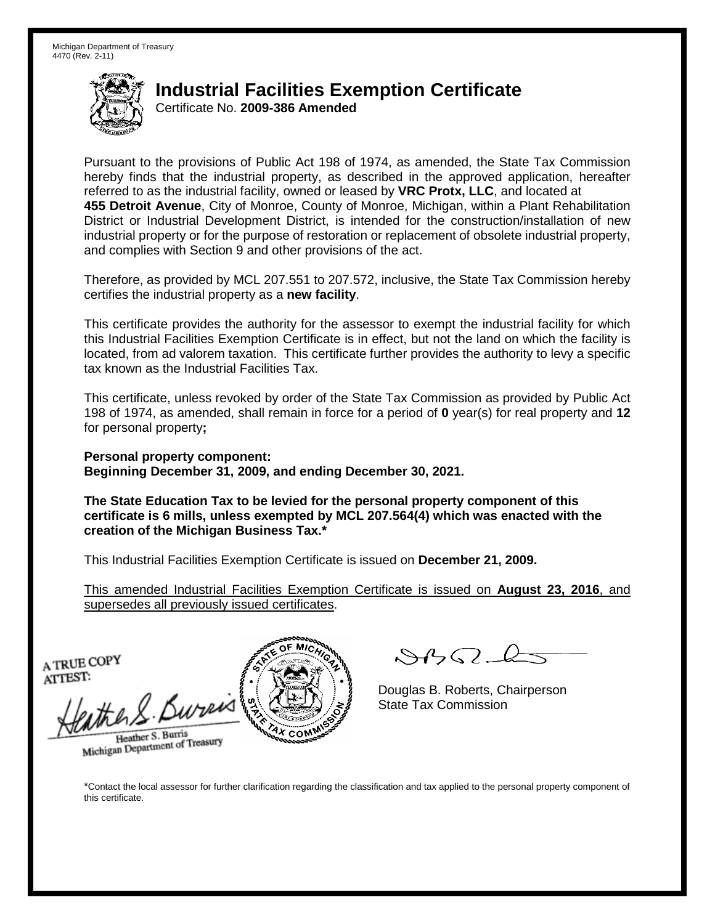Certificate No. **2009-386 Amended**

Pursuant to the provisions of Public Act 198 of 1974, as amended, the State Tax Commission hereby finds that the industrial property, as described in the approved application, hereafter referred to as the industrial facility, owned or leased by **VRC Protx, LLC**, and located at **455 Detroit Avenue**, City of Monroe, County of Monroe, Michigan, within a Plant Rehabilitation District or Industrial Development District, is intended for the construction/installation of new industrial property or for the purpose of restoration or replacement of obsolete industrial property, and complies with Section 9 and other provisions of the act.

Therefore, as provided by MCL 207.551 to 207.572, inclusive, the State Tax Commission hereby certifies the industrial property as a **new facility**.

This certificate provides the authority for the assessor to exempt the industrial facility for which this Industrial Facilities Exemption Certificate is in effect, but not the land on which the facility is located, from ad valorem taxation. This certificate further provides the authority to levy a specific tax known as the Industrial Facilities Tax.

This certificate, unless revoked by order of the State Tax Commission as provided by Public Act 198 of 1974, as amended, shall remain in force for a period of **0** year(s) for real property and **12** for personal property**;**

**Personal property component: Beginning December 31, 2009, and ending December 30, 2021.**

**The State Education Tax to be levied for the personal property component of this certificate is 6 mills, unless exempted by MCL 207.564(4) which was enacted with the creation of the Michigan Business Tax.\***

This Industrial Facilities Exemption Certificate is issued on **December 21, 2009.**

This amended Industrial Facilities Exemption Certificate is issued on **August 23, 2016**, and supersedes all previously issued certificates.

A TRUE COPY ATTEST:

the S. Burn

Heather S. Burris Heather S. Burns<br>Michigan Department of Treasury



 $\mathcal{A} \cap \mathcal{A} \cap \mathcal{A}$ 

Douglas B. Roberts, Chairperson State Tax Commission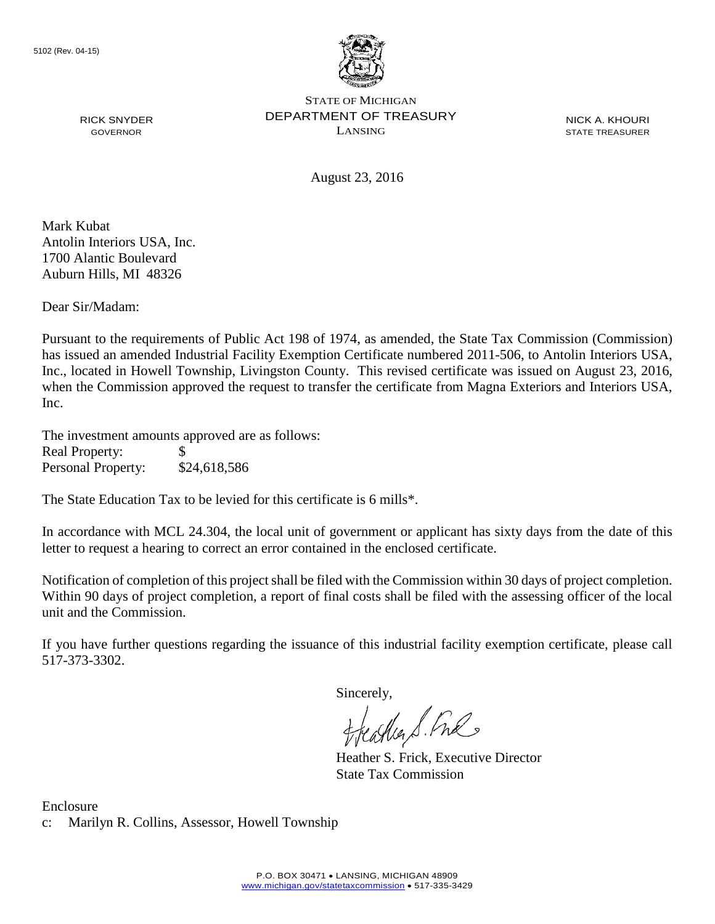

NICK A. KHOURI STATE TREASURER

August 23, 2016

Mark Kubat Antolin Interiors USA, Inc. 1700 Alantic Boulevard Auburn Hills, MI 48326

RICK SNYDER GOVERNOR

Dear Sir/Madam:

Pursuant to the requirements of Public Act 198 of 1974, as amended, the State Tax Commission (Commission) has issued an amended Industrial Facility Exemption Certificate numbered 2011-506, to Antolin Interiors USA, Inc., located in Howell Township, Livingston County. This revised certificate was issued on August 23, 2016, when the Commission approved the request to transfer the certificate from Magna Exteriors and Interiors USA, Inc.

The investment amounts approved are as follows: Real Property: \$ Personal Property: \$24,618,586

The State Education Tax to be levied for this certificate is 6 mills\*.

In accordance with MCL 24.304, the local unit of government or applicant has sixty days from the date of this letter to request a hearing to correct an error contained in the enclosed certificate.

Notification of completion of this project shall be filed with the Commission within 30 days of project completion. Within 90 days of project completion, a report of final costs shall be filed with the assessing officer of the local unit and the Commission.

If you have further questions regarding the issuance of this industrial facility exemption certificate, please call 517-373-3302.

Sincerely,<br>freathers fine

Heather S. Frick, Executive Director State Tax Commission

Enclosure c: Marilyn R. Collins, Assessor, Howell Township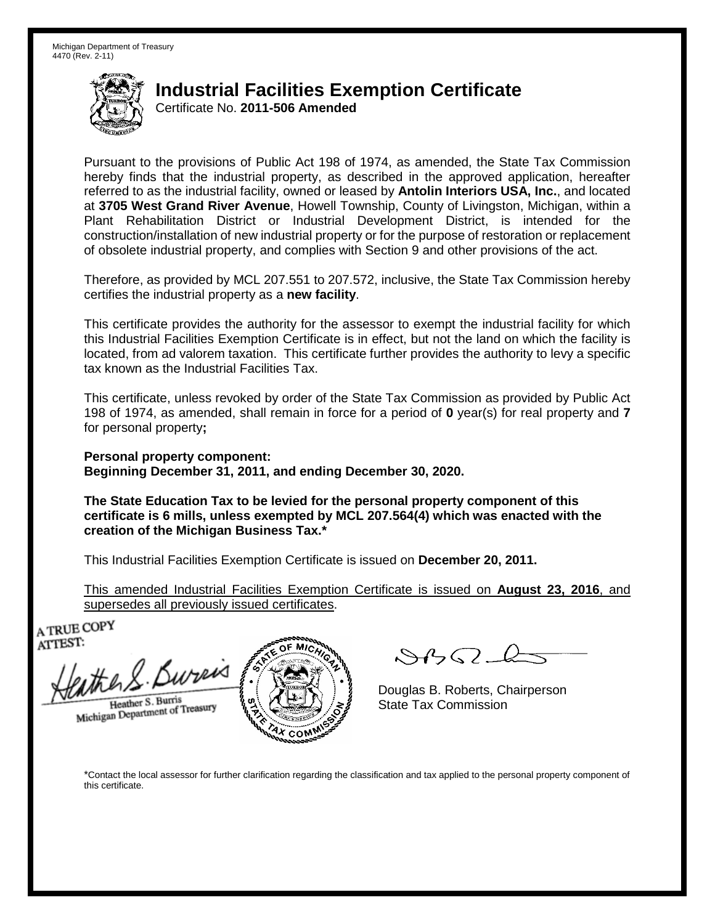Certificate No. **2011-506 Amended**

Pursuant to the provisions of Public Act 198 of 1974, as amended, the State Tax Commission hereby finds that the industrial property, as described in the approved application, hereafter referred to as the industrial facility, owned or leased by **Antolin Interiors USA, Inc.**, and located at **3705 West Grand River Avenue**, Howell Township, County of Livingston, Michigan, within a Plant Rehabilitation District or Industrial Development District, is intended for the construction/installation of new industrial property or for the purpose of restoration or replacement of obsolete industrial property, and complies with Section 9 and other provisions of the act.

Therefore, as provided by MCL 207.551 to 207.572, inclusive, the State Tax Commission hereby certifies the industrial property as a **new facility**.

This certificate provides the authority for the assessor to exempt the industrial facility for which this Industrial Facilities Exemption Certificate is in effect, but not the land on which the facility is located, from ad valorem taxation. This certificate further provides the authority to levy a specific tax known as the Industrial Facilities Tax.

This certificate, unless revoked by order of the State Tax Commission as provided by Public Act 198 of 1974, as amended, shall remain in force for a period of **0** year(s) for real property and **7** for personal property**;**

**Personal property component: Beginning December 31, 2011, and ending December 30, 2020.**

**The State Education Tax to be levied for the personal property component of this certificate is 6 mills, unless exempted by MCL 207.564(4) which was enacted with the creation of the Michigan Business Tax.\***

This Industrial Facilities Exemption Certificate is issued on **December 20, 2011.**

This amended Industrial Facilities Exemption Certificate is issued on **August 23, 2016**, and supersedes all previously issued certificates.

A TRUE COPY ATTEST:

the S. Bureis

Heather S. Burris Heather S. Burris<br>Michigan Department of Treasury



 $\mathcal{S}$ 

Douglas B. Roberts, Chairperson State Tax Commission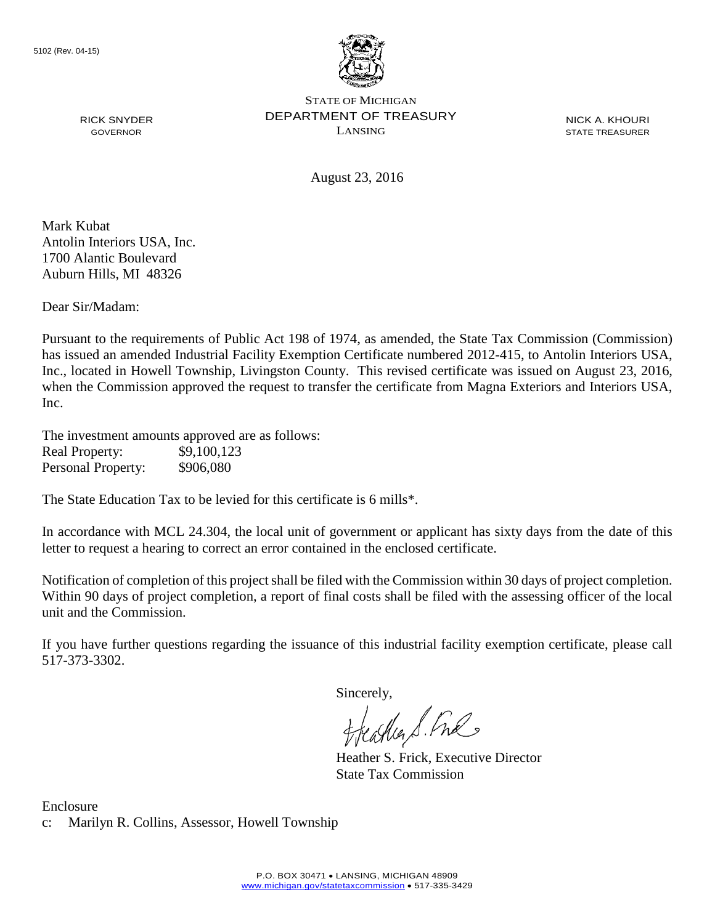

NICK A. KHOURI STATE TREASURER

August 23, 2016

Mark Kubat Antolin Interiors USA, Inc. 1700 Alantic Boulevard Auburn Hills, MI 48326

RICK SNYDER GOVERNOR

Dear Sir/Madam:

Pursuant to the requirements of Public Act 198 of 1974, as amended, the State Tax Commission (Commission) has issued an amended Industrial Facility Exemption Certificate numbered 2012-415, to Antolin Interiors USA, Inc., located in Howell Township, Livingston County. This revised certificate was issued on August 23, 2016, when the Commission approved the request to transfer the certificate from Magna Exteriors and Interiors USA, Inc.

The investment amounts approved are as follows: Real Property: \$9,100,123 Personal Property: \$906,080

The State Education Tax to be levied for this certificate is 6 mills\*.

In accordance with MCL 24.304, the local unit of government or applicant has sixty days from the date of this letter to request a hearing to correct an error contained in the enclosed certificate.

Notification of completion of this project shall be filed with the Commission within 30 days of project completion. Within 90 days of project completion, a report of final costs shall be filed with the assessing officer of the local unit and the Commission.

If you have further questions regarding the issuance of this industrial facility exemption certificate, please call 517-373-3302.

Sincerely,<br>freathers fine

Heather S. Frick, Executive Director State Tax Commission

Enclosure c: Marilyn R. Collins, Assessor, Howell Township